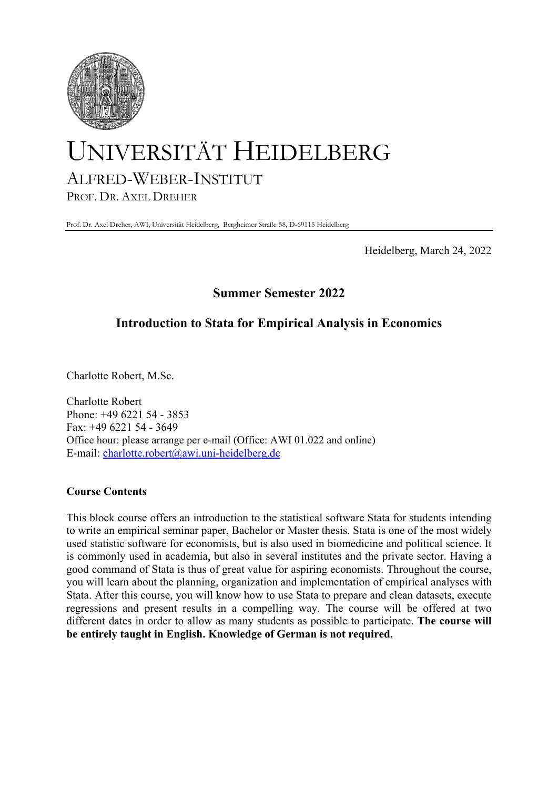

# UNIVERSITÄT HEIDELBERG ALFRED-WEBER-INSTITUT

PROF. DR. AXEL DREHER

Prof. Dr. Axel Dreher, AWI, Universität Heidelberg, Bergheimer Straße 58, D-69115 Heidelberg

Heidelberg, March 24, 2022

# **Summer Semester 2022**

# **Introduction to Stata for Empirical Analysis in Economics**

Charlotte Robert, M.Sc.

Charlotte Robert Phone: +49 6221 54 - 3853 Fax: +49 6221 54 - 3649 Office hour: please arrange per e-mail (Office: AWI 01.022 and online) E-mail: charlotte.robert@awi.uni-heidelberg.de

# **Course Contents**

This block course offers an introduction to the statistical software Stata for students intending to write an empirical seminar paper, Bachelor or Master thesis. Stata is one of the most widely used statistic software for economists, but is also used in biomedicine and political science. It is commonly used in academia, but also in several institutes and the private sector. Having a good command of Stata is thus of great value for aspiring economists. Throughout the course, you will learn about the planning, organization and implementation of empirical analyses with Stata. After this course, you will know how to use Stata to prepare and clean datasets, execute regressions and present results in a compelling way. The course will be offered at two different dates in order to allow as many students as possible to participate. **The course will be entirely taught in English. Knowledge of German is not required.**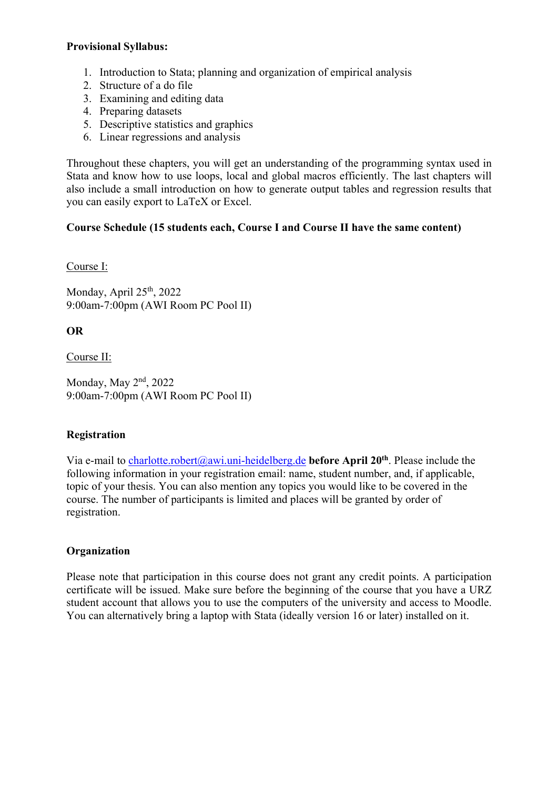#### **Provisional Syllabus:**

- 1. Introduction to Stata; planning and organization of empirical analysis
- 2. Structure of a do file
- 3. Examining and editing data
- 4. Preparing datasets
- 5. Descriptive statistics and graphics
- 6. Linear regressions and analysis

Throughout these chapters, you will get an understanding of the programming syntax used in Stata and know how to use loops, local and global macros efficiently. The last chapters will also include a small introduction on how to generate output tables and regression results that you can easily export to LaTeX or Excel.

# **Course Schedule (15 students each, Course I and Course II have the same content)**

Course I:

Monday, April  $25<sup>th</sup>$ , 2022 9:00am-7:00pm (AWI Room PC Pool II)

**OR** 

Course II:

Monday, May 2<sup>nd</sup>, 2022 9:00am-7:00pm (AWI Room PC Pool II)

# **Registration**

Via e-mail to charlotte.robert@awi.uni-heidelberg.de **before April 20th**. Please include the following information in your registration email: name, student number, and, if applicable, topic of your thesis. You can also mention any topics you would like to be covered in the course. The number of participants is limited and places will be granted by order of registration.

# **Organization**

Please note that participation in this course does not grant any credit points. A participation certificate will be issued. Make sure before the beginning of the course that you have a URZ student account that allows you to use the computers of the university and access to Moodle. You can alternatively bring a laptop with Stata (ideally version 16 or later) installed on it.